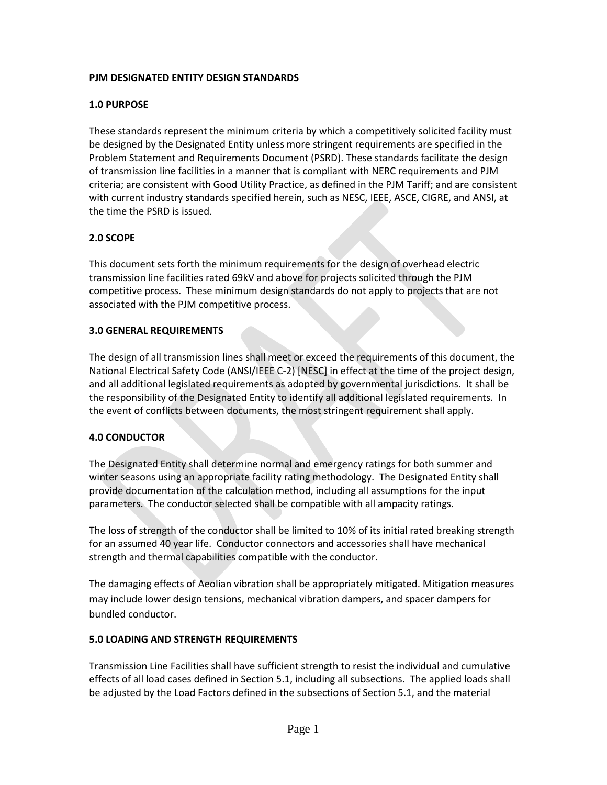# **PJM DESIGNATED ENTITY DESIGN STANDARDS**

## **1.0 PURPOSE**

These standards represent the minimum criteria by which a competitively solicited facility must be designed by the Designated Entity unless more stringent requirements are specified in the Problem Statement and Requirements Document (PSRD). These standards facilitate the design of transmission line facilities in a manner that is compliant with NERC requirements and PJM criteria; are consistent with Good Utility Practice, as defined in the PJM Tariff; and are consistent with current industry standards specified herein, such as NESC, IEEE, ASCE, CIGRE, and ANSI, at the time the PSRD is issued.

## **2.0 SCOPE**

This document sets forth the minimum requirements for the design of overhead electric transmission line facilities rated 69kV and above for projects solicited through the PJM competitive process. These minimum design standards do not apply to projects that are not associated with the PJM competitive process.

#### **3.0 GENERAL REQUIREMENTS**

The design of all transmission lines shall meet or exceed the requirements of this document, the National Electrical Safety Code (ANSI/IEEE C-2) [NESC] in effect at the time of the project design, and all additional legislated requirements as adopted by governmental jurisdictions. It shall be the responsibility of the Designated Entity to identify all additional legislated requirements. In the event of conflicts between documents, the most stringent requirement shall apply.

#### **4.0 CONDUCTOR**

The Designated Entity shall determine normal and emergency ratings for both summer and winter seasons using an appropriate facility rating methodology. The Designated Entity shall provide documentation of the calculation method, including all assumptions for the input parameters. The conductor selected shall be compatible with all ampacity ratings.

The loss of strength of the conductor shall be limited to 10% of its initial rated breaking strength for an assumed 40 year life. Conductor connectors and accessories shall have mechanical strength and thermal capabilities compatible with the conductor.

The damaging effects of Aeolian vibration shall be appropriately mitigated. Mitigation measures may include lower design tensions, mechanical vibration dampers, and spacer dampers for bundled conductor.

# **5.0 LOADING AND STRENGTH REQUIREMENTS**

Transmission Line Facilities shall have sufficient strength to resist the individual and cumulative effects of all load cases defined in Section 5.1, including all subsections. The applied loads shall be adjusted by the Load Factors defined in the subsections of Section 5.1, and the material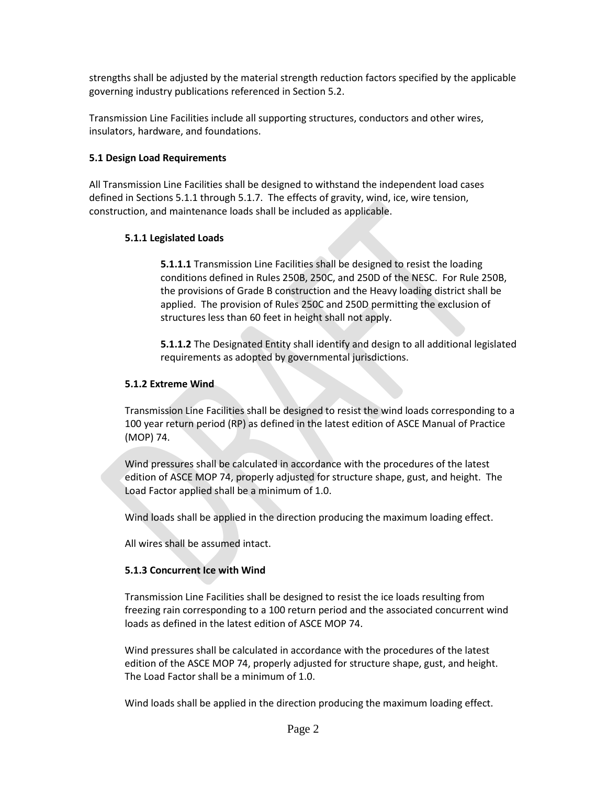strengths shall be adjusted by the material strength reduction factors specified by the applicable governing industry publications referenced in Section 5.2.

Transmission Line Facilities include all supporting structures, conductors and other wires, insulators, hardware, and foundations.

#### **5.1 Design Load Requirements**

All Transmission Line Facilities shall be designed to withstand the independent load cases defined in Sections 5.1.1 through 5.1.7. The effects of gravity, wind, ice, wire tension, construction, and maintenance loads shall be included as applicable.

## **5.1.1 Legislated Loads**

**5.1.1.1** Transmission Line Facilities shall be designed to resist the loading conditions defined in Rules 250B, 250C, and 250D of the NESC. For Rule 250B, the provisions of Grade B construction and the Heavy loading district shall be applied. The provision of Rules 250C and 250D permitting the exclusion of structures less than 60 feet in height shall not apply.

**5.1.1.2** The Designated Entity shall identify and design to all additional legislated requirements as adopted by governmental jurisdictions.

## **5.1.2 Extreme Wind**

Transmission Line Facilities shall be designed to resist the wind loads corresponding to a 100 year return period (RP) as defined in the latest edition of ASCE Manual of Practice (MOP) 74.

Wind pressures shall be calculated in accordance with the procedures of the latest edition of ASCE MOP 74, properly adjusted for structure shape, gust, and height. The Load Factor applied shall be a minimum of 1.0.

Wind loads shall be applied in the direction producing the maximum loading effect.

All wires shall be assumed intact.

# **5.1.3 Concurrent Ice with Wind**

Transmission Line Facilities shall be designed to resist the ice loads resulting from freezing rain corresponding to a 100 return period and the associated concurrent wind loads as defined in the latest edition of ASCE MOP 74.

Wind pressures shall be calculated in accordance with the procedures of the latest edition of the ASCE MOP 74, properly adjusted for structure shape, gust, and height. The Load Factor shall be a minimum of 1.0.

Wind loads shall be applied in the direction producing the maximum loading effect.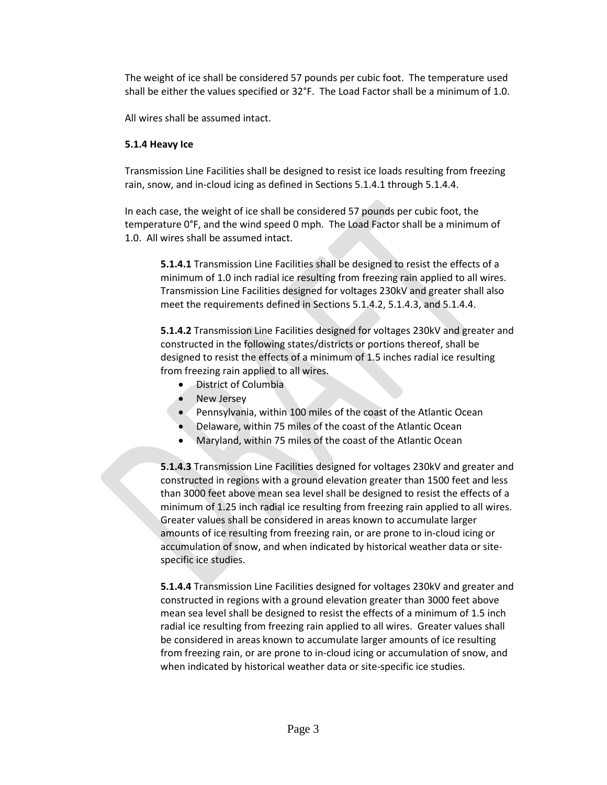The weight of ice shall be considered 57 pounds per cubic foot. The temperature used shall be either the values specified or 32°F. The Load Factor shall be a minimum of 1.0.

All wires shall be assumed intact.

# **5.1.4 Heavy Ice**

Transmission Line Facilities shall be designed to resist ice loads resulting from freezing rain, snow, and in-cloud icing as defined in Sections 5.1.4.1 through 5.1.4.4.

In each case, the weight of ice shall be considered 57 pounds per cubic foot, the temperature 0°F, and the wind speed 0 mph. The Load Factor shall be a minimum of 1.0. All wires shall be assumed intact.

**5.1.4.1** Transmission Line Facilities shall be designed to resist the effects of a minimum of 1.0 inch radial ice resulting from freezing rain applied to all wires. Transmission Line Facilities designed for voltages 230kV and greater shall also meet the requirements defined in Sections 5.1.4.2, 5.1.4.3, and 5.1.4.4.

**5.1.4.2** Transmission Line Facilities designed for voltages 230kV and greater and constructed in the following states/districts or portions thereof, shall be designed to resist the effects of a minimum of 1.5 inches radial ice resulting from freezing rain applied to all wires.

- District of Columbia
- New Jersey
- Pennsylvania, within 100 miles of the coast of the Atlantic Ocean
- Delaware, within 75 miles of the coast of the Atlantic Ocean
- Maryland, within 75 miles of the coast of the Atlantic Ocean

**5.1.4.3** Transmission Line Facilities designed for voltages 230kV and greater and constructed in regions with a ground elevation greater than 1500 feet and less than 3000 feet above mean sea level shall be designed to resist the effects of a minimum of 1.25 inch radial ice resulting from freezing rain applied to all wires. Greater values shall be considered in areas known to accumulate larger amounts of ice resulting from freezing rain, or are prone to in-cloud icing or accumulation of snow, and when indicated by historical weather data or sitespecific ice studies.

**5.1.4.4** Transmission Line Facilities designed for voltages 230kV and greater and constructed in regions with a ground elevation greater than 3000 feet above mean sea level shall be designed to resist the effects of a minimum of 1.5 inch radial ice resulting from freezing rain applied to all wires. Greater values shall be considered in areas known to accumulate larger amounts of ice resulting from freezing rain, or are prone to in-cloud icing or accumulation of snow, and when indicated by historical weather data or site-specific ice studies.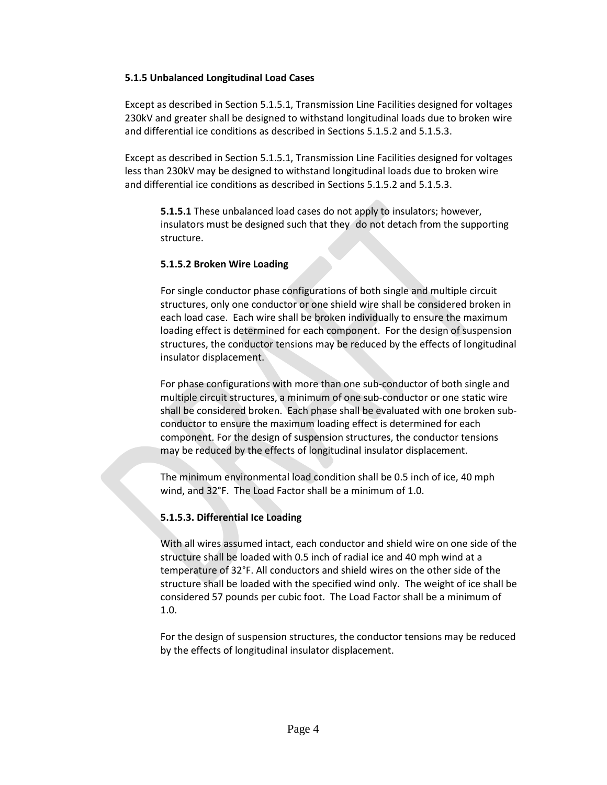#### **5.1.5 Unbalanced Longitudinal Load Cases**

Except as described in Section 5.1.5.1, Transmission Line Facilities designed for voltages 230kV and greater shall be designed to withstand longitudinal loads due to broken wire and differential ice conditions as described in Sections 5.1.5.2 and 5.1.5.3.

Except as described in Section 5.1.5.1, Transmission Line Facilities designed for voltages less than 230kV may be designed to withstand longitudinal loads due to broken wire and differential ice conditions as described in Sections 5.1.5.2 and 5.1.5.3.

**5.1.5.1** These unbalanced load cases do not apply to insulators; however, insulators must be designed such that they do not detach from the supporting structure.

## **5.1.5.2 Broken Wire Loading**

For single conductor phase configurations of both single and multiple circuit structures, only one conductor or one shield wire shall be considered broken in each load case. Each wire shall be broken individually to ensure the maximum loading effect is determined for each component. For the design of suspension structures, the conductor tensions may be reduced by the effects of longitudinal insulator displacement.

For phase configurations with more than one sub-conductor of both single and multiple circuit structures, a minimum of one sub-conductor or one static wire shall be considered broken. Each phase shall be evaluated with one broken subconductor to ensure the maximum loading effect is determined for each component. For the design of suspension structures, the conductor tensions may be reduced by the effects of longitudinal insulator displacement.

The minimum environmental load condition shall be 0.5 inch of ice, 40 mph wind, and 32°F. The Load Factor shall be a minimum of 1.0.

# **5.1.5.3. Differential Ice Loading**

With all wires assumed intact, each conductor and shield wire on one side of the structure shall be loaded with 0.5 inch of radial ice and 40 mph wind at a temperature of 32°F. All conductors and shield wires on the other side of the structure shall be loaded with the specified wind only. The weight of ice shall be considered 57 pounds per cubic foot. The Load Factor shall be a minimum of 1.0.

For the design of suspension structures, the conductor tensions may be reduced by the effects of longitudinal insulator displacement.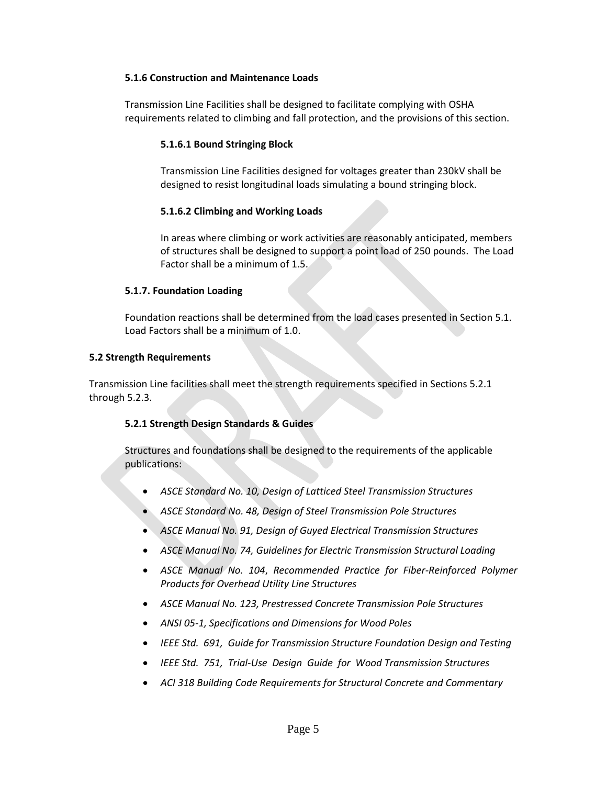#### **5.1.6 Construction and Maintenance Loads**

Transmission Line Facilities shall be designed to facilitate complying with OSHA requirements related to climbing and fall protection, and the provisions of this section.

## **5.1.6.1 Bound Stringing Block**

Transmission Line Facilities designed for voltages greater than 230kV shall be designed to resist longitudinal loads simulating a bound stringing block.

## **5.1.6.2 Climbing and Working Loads**

In areas where climbing or work activities are reasonably anticipated, members of structures shall be designed to support a point load of 250 pounds. The Load Factor shall be a minimum of 1.5.

## **5.1.7. Foundation Loading**

Foundation reactions shall be determined from the load cases presented in Section 5.1. Load Factors shall be a minimum of 1.0.

#### **5.2 Strength Requirements**

Transmission Line facilities shall meet the strength requirements specified in Sections 5.2.1 through 5.2.3.

# **5.2.1 Strength Design Standards & Guides**

Structures and foundations shall be designed to the requirements of the applicable publications:

- *ASCE Standard No. 10, Design of Latticed Steel Transmission Structures*
- *ASCE Standard No. 48, Design of Steel Transmission Pole Structures*
- *ASCE Manual No. 91, Design of Guyed Electrical Transmission Structures*
- *ASCE Manual No. 74, Guidelines for Electric Transmission Structural Loading*
- *ASCE Manual No. 104*, *Recommended Practice for Fiber-Reinforced Polymer Products for Overhead Utility Line Structures*
- *ASCE Manual No. 123, Prestressed Concrete Transmission Pole Structures*
- *ANSI 05-1, Specifications and Dimensions for Wood Poles*
- *IEEE Std. 691, Guide for Transmission Structure Foundation Design and Testing*
- *IEEE Std. 751, Trial-Use Design Guide for Wood Transmission Structures*
- *ACI 318 Building Code Requirements for Structural Concrete and Commentary*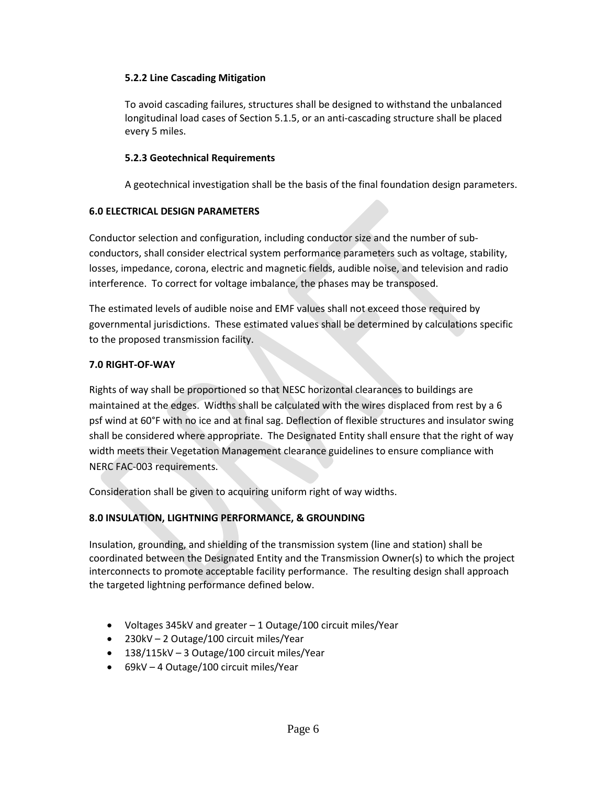# **5.2.2 Line Cascading Mitigation**

To avoid cascading failures, structures shall be designed to withstand the unbalanced longitudinal load cases of Section 5.1.5, or an anti-cascading structure shall be placed every 5 miles.

## **5.2.3 Geotechnical Requirements**

A geotechnical investigation shall be the basis of the final foundation design parameters.

## **6.0 ELECTRICAL DESIGN PARAMETERS**

Conductor selection and configuration, including conductor size and the number of subconductors, shall consider electrical system performance parameters such as voltage, stability, losses, impedance, corona, electric and magnetic fields, audible noise, and television and radio interference. To correct for voltage imbalance, the phases may be transposed.

The estimated levels of audible noise and EMF values shall not exceed those required by governmental jurisdictions. These estimated values shall be determined by calculations specific to the proposed transmission facility.

## **7.0 RIGHT-OF-WAY**

Rights of way shall be proportioned so that NESC horizontal clearances to buildings are maintained at the edges. Widths shall be calculated with the wires displaced from rest by a 6 psf wind at 60°F with no ice and at final sag. Deflection of flexible structures and insulator swing shall be considered where appropriate. The Designated Entity shall ensure that the right of way width meets their Vegetation Management clearance guidelines to ensure compliance with NERC FAC-003 requirements.

Consideration shall be given to acquiring uniform right of way widths.

# **8.0 INSULATION, LIGHTNING PERFORMANCE, & GROUNDING**

Insulation, grounding, and shielding of the transmission system (line and station) shall be coordinated between the Designated Entity and the Transmission Owner(s) to which the project interconnects to promote acceptable facility performance. The resulting design shall approach the targeted lightning performance defined below.

- Voltages 345kV and greater 1 Outage/100 circuit miles/Year
- 230kV 2 Outage/100 circuit miles/Year
- 138/115kV 3 Outage/100 circuit miles/Year
- 69kV 4 Outage/100 circuit miles/Year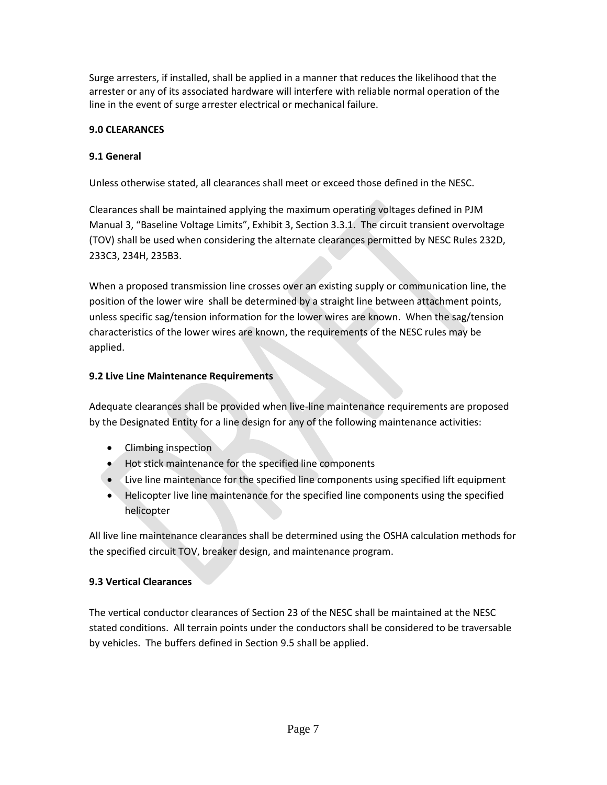Surge arresters, if installed, shall be applied in a manner that reduces the likelihood that the arrester or any of its associated hardware will interfere with reliable normal operation of the line in the event of surge arrester electrical or mechanical failure.

# **9.0 CLEARANCES**

# **9.1 General**

Unless otherwise stated, all clearances shall meet or exceed those defined in the NESC.

Clearances shall be maintained applying the maximum operating voltages defined in PJM Manual 3, "Baseline Voltage Limits", Exhibit 3, Section 3.3.1. The circuit transient overvoltage (TOV) shall be used when considering the alternate clearances permitted by NESC Rules 232D, 233C3, 234H, 235B3.

When a proposed transmission line crosses over an existing supply or communication line, the position of the lower wire shall be determined by a straight line between attachment points, unless specific sag/tension information for the lower wires are known. When the sag/tension characteristics of the lower wires are known, the requirements of the NESC rules may be applied.

# **9.2 Live Line Maintenance Requirements**

Adequate clearances shall be provided when live-line maintenance requirements are proposed by the Designated Entity for a line design for any of the following maintenance activities:

- Climbing inspection
- Hot stick maintenance for the specified line components
- Live line maintenance for the specified line components using specified lift equipment
- Helicopter live line maintenance for the specified line components using the specified helicopter

All live line maintenance clearances shall be determined using the OSHA calculation methods for the specified circuit TOV, breaker design, and maintenance program.

# **9.3 Vertical Clearances**

The vertical conductor clearances of Section 23 of the NESC shall be maintained at the NESC stated conditions. All terrain points under the conductors shall be considered to be traversable by vehicles. The buffers defined in Section 9.5 shall be applied.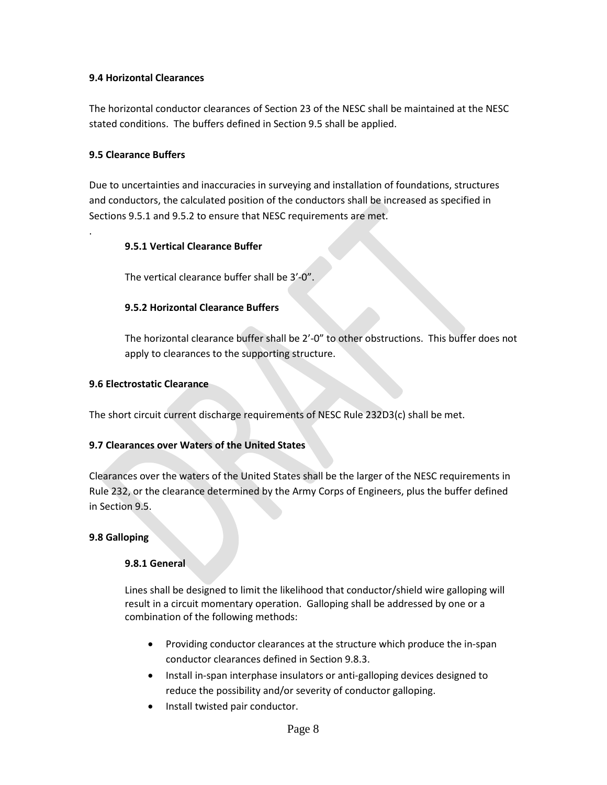## **9.4 Horizontal Clearances**

The horizontal conductor clearances of Section 23 of the NESC shall be maintained at the NESC stated conditions. The buffers defined in Section 9.5 shall be applied.

## **9.5 Clearance Buffers**

.

Due to uncertainties and inaccuracies in surveying and installation of foundations, structures and conductors, the calculated position of the conductors shall be increased as specified in Sections 9.5.1 and 9.5.2 to ensure that NESC requirements are met.

## **9.5.1 Vertical Clearance Buffer**

The vertical clearance buffer shall be 3'-0".

# **9.5.2 Horizontal Clearance Buffers**

The horizontal clearance buffer shall be 2'-0" to other obstructions. This buffer does not apply to clearances to the supporting structure.

#### **9.6 Electrostatic Clearance**

The short circuit current discharge requirements of NESC Rule 232D3(c) shall be met.

#### **9.7 Clearances over Waters of the United States**

Clearances over the waters of the United States shall be the larger of the NESC requirements in Rule 232, or the clearance determined by the Army Corps of Engineers, plus the buffer defined in Section 9.5.

#### **9.8 Galloping**

#### **9.8.1 General**

Lines shall be designed to limit the likelihood that conductor/shield wire galloping will result in a circuit momentary operation. Galloping shall be addressed by one or a combination of the following methods:

- Providing conductor clearances at the structure which produce the in-span conductor clearances defined in Section 9.8.3.
- Install in-span interphase insulators or anti-galloping devices designed to reduce the possibility and/or severity of conductor galloping.
- Install twisted pair conductor.